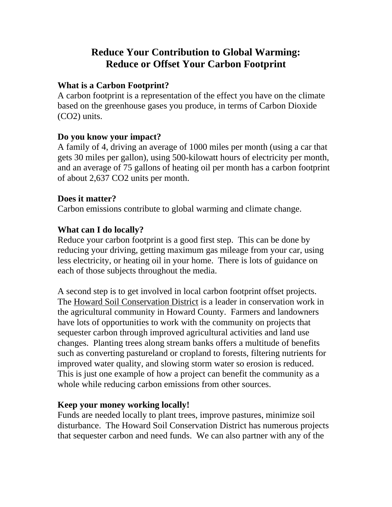# **Reduce Your Contribution to Global Warming: Reduce or Offset Your Carbon Footprint**

#### **What is a Carbon Footprint?**

A carbon footprint is a representation of the effect you have on the climate based on the greenhouse gases you produce, in terms of Carbon Dioxide (CO2) units.

### **Do you know your impact?**

A family of 4, driving an average of 1000 miles per month (using a car that gets 30 miles per gallon), using 500-kilowatt hours of electricity per month, and an average of 75 gallons of heating oil per month has a carbon footprint of about 2,637 CO2 units per month.

### **Does it matter?**

Carbon emissions contribute to global warming and climate change.

### **What can I do locally?**

Reduce your carbon footprint is a good first step. This can be done by reducing your driving, getting maximum gas mileage from your car, using less electricity, or heating oil in your home. There is lots of guidance on each of those subjects throughout the media.

A second step is to get involved in local carbon footprint offset projects. The Howard Soil Conservation District is a leader in conservation work in the agricultural community in Howard County. Farmers and landowners have lots of opportunities to work with the community on projects that sequester carbon through improved agricultural activities and land use changes. Planting trees along stream banks offers a multitude of benefits such as converting pastureland or cropland to forests, filtering nutrients for improved water quality, and slowing storm water so erosion is reduced. This is just one example of how a project can benefit the community as a whole while reducing carbon emissions from other sources.

## **Keep your money working locally!**

Funds are needed locally to plant trees, improve pastures, minimize soil disturbance. The Howard Soil Conservation District has numerous projects that sequester carbon and need funds. We can also partner with any of the